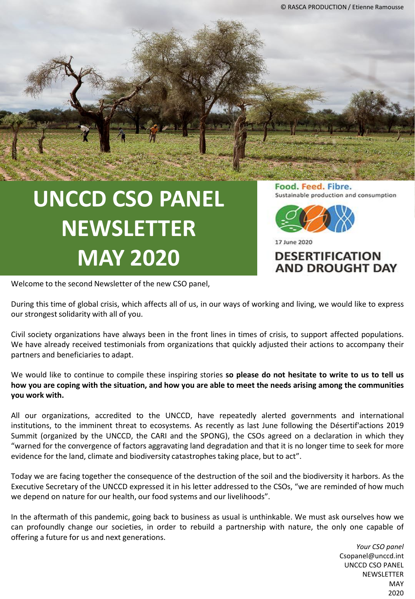# **UNCCD CSO PANEL NEWSLETTER MAY 2020**

Welcome to the second Newsletter of the new CSO panel,

Food. Feed. Fibre. Sustainable production and consumption



17 June 2020

### **DESERTIFICATION AND DROUGHT DAY**

our strongest solidarity with all of you.

During this time of global crisis, which affects all of us, in our ways of working and living, we would like to express

Civil society organizations have always been in the front lines in times of crisis, to support affected populations. We have already received testimonials from organizations that quickly adjusted their actions to accompany their partners and beneficiaries to adapt.

We would like to continue to compile these inspiring stories **so please do not hesitate to write to us to tell us** how you are coping with the situation, and how you are able to meet the needs arising among the communities **you work with.**

All our organizations, accredited to the UNCCD, have repeatedly alerted governments and international institutions, to the imminent threat to ecosystems. As recently as last June following the Désertif'actions 2019 Summit (organized by the UNCCD, the CARI and the SPONG), the CSOs agreed on a declaration in which they "warned for the convergence of factors aggravating land degradation and that it is no longer time to seek for more evidence for the land, climate and biodiversity catastrophes taking place, but to act".

Today we are facing together the consequence of the destruction of the soil and the biodiversity it harbors. As the Executive Secretary of the UNCCD expressed it in his letter addressed to the CSOs, "we are reminded of how much we depend on nature for our health, our food systems and our livelihoods".

In the aftermath of this pandemic, going back to business as usual is unthinkable. We must ask ourselves how we can profoundly change our societies, in order to rebuild a partnership with nature, the only one capable of offering a future for us and next generations.

> *Your CSO panel*  Csopanel@unccd.int UNCCD CSO PANEL **NEWSLETTER MAY** 2020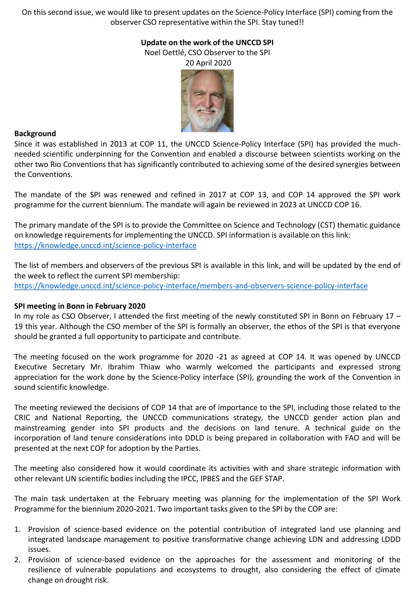On this second issue, we would like to present updates on the Science-Policy Interface (SPI) coming from the observer CSO representative within the SPI. Stay tuned!!

#### **Update on the work of the UNCCD SPI** Noel Oettlé, CSO Observer to the SPI

20 April 2020



#### **Background**

Since it was established in 2013 at COP 11, the UNCCD Science-Policy Interface (SPI) has provided the muchneeded scientific underpinning for the Convention and enabled a discourse between scientists working on the other two Rio Conventions that has significantly contributed to achieving some of the desired synergies between the Conventions.

The mandate of the SPI was renewed and refined in 2017 at COP 13, and COP 14 approved the SPI work programme for the current biennium. The mandate will again be reviewed in 2023 at UNCCD COP 16.

The primary mandate of the SPI is to provide the Committee on Science and Technology (CST) thematic guidance on knowledge requirements for implementing the UNCCD. SPI information is available on this link: <https://knowledge.unccd.int/science-policy-interface>

The list of members and observers of the previous SPI is available in this link, and will be updated by the end of the week to reflect the current SPI membership: <https://knowledge.unccd.int/science-policy-interface/members-and-observers-science-policy-interface>

#### **SPI meeting in Bonn in February 2020**

In my role as CSO Observer, I attended the first meeting of the newly constituted SPI in Bonn on February 17 – 19 this year. Although the CSO member of the SPI is formally an observer, the ethos of the SPI is that everyone should be granted a full opportunity to participate and contribute.

The meeting focused on the work programme for 2020 -21 as agreed at COP 14. It was opened by UNCCD Executive Secretary Mr. Ibrahim Thiaw who warmly welcomed the participants and expressed strong appreciation for the work done by the Science-Policy interface (SPI), grounding the work of the Convention in sound scientific knowledge.

The meeting reviewed the decisions of COP 14 that are of importance to the SPI, including those related to the CRIC and National Reporting, the UNCCD communications strategy, the UNCCD gender action plan and mainstreaming gender into SPI products and the decisions on land tenure. A technical guide on the incorporation of land tenure considerations into DDLD is being prepared in collaboration with FAO and will be presented at the next COP for adoption by the Parties.

The meeting also considered how it would coordinate its activities with and share strategic information with other relevant UN scientific bodies including the IPCC, IPBES and the GEF STAP.

The main task undertaken at the February meeting was planning for the implementation of the SPI Work Programme for the biennium 2020-2021. Two important tasks given to the SPI by the COP are:

- 1. Provision of science-based evidence on the potential contribution of integrated land use planning and integrated landscape management to positive transformative change achieving LDN and addressing LDDD issues.
- 2. Provision of science-based evidence on the approaches for the assessment and monitoring of the resilience of vulnerable populations and ecosystems to drought, also considering the effect of climate change on drought risk.